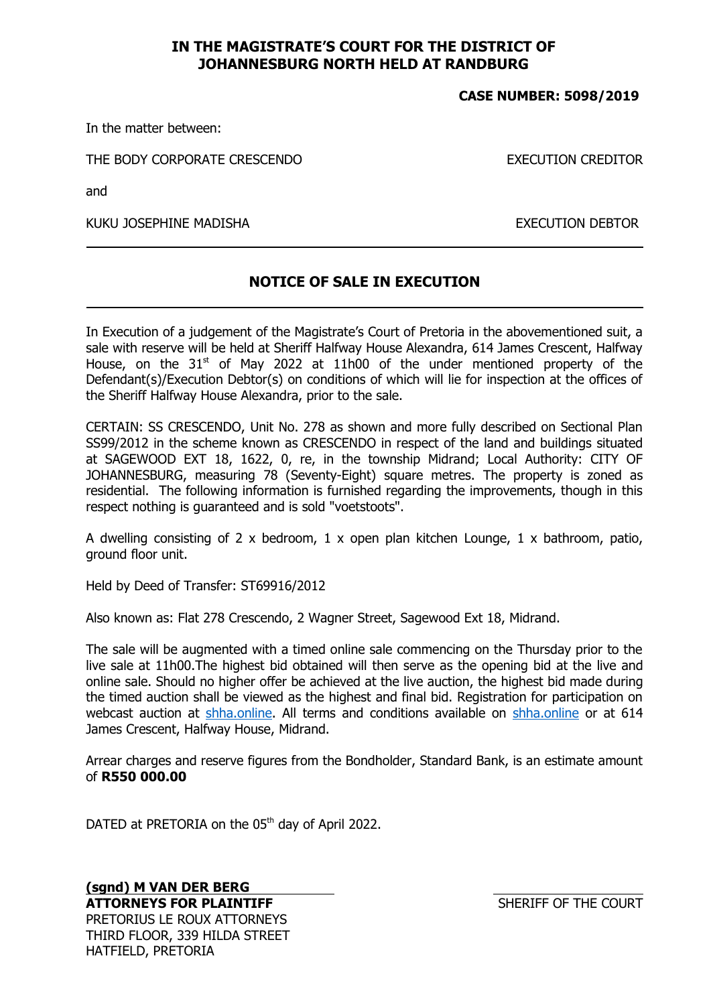## IN THE MAGISTRATE'S COURT FOR THE DISTRICT OF JOHANNESBURG NORTH HELD AT RANDBURG

## CASE NUMBER: 5098/2019

In the matter between:

THE BODY CORPORATE CRESCENDO **EXECUTION CREDITOR** 

and

KUKU JOSEPHINE MADISHA EXECUTION DEBTOR

## NOTICE OF SALE IN EXECUTION

In Execution of a judgement of the Magistrate's Court of Pretoria in the abovementioned suit, a sale with reserve will be held at Sheriff Halfway House Alexandra, 614 James Crescent, Halfway House, on the  $31<sup>st</sup>$  of May 2022 at 11h00 of the under mentioned property of the Defendant(s)/Execution Debtor(s) on conditions of which will lie for inspection at the offices of the Sheriff Halfway House Alexandra, prior to the sale.

CERTAIN: SS CRESCENDO, Unit No. 278 as shown and more fully described on Sectional Plan SS99/2012 in the scheme known as CRESCENDO in respect of the land and buildings situated at SAGEWOOD EXT 18, 1622, 0, re, in the township Midrand; Local Authority: CITY OF JOHANNESBURG, measuring 78 (Seventy-Eight) square metres. The property is zoned as residential. The following information is furnished regarding the improvements, though in this respect nothing is guaranteed and is sold "voetstoots".

A dwelling consisting of 2 x bedroom,  $1 \times$  open plan kitchen Lounge,  $1 \times$  bathroom, patio, ground floor unit.

Held by Deed of Transfer: ST69916/2012

Also known as: Flat 278 Crescendo, 2 Wagner Street, Sagewood Ext 18, Midrand.

The sale will be augmented with a timed online sale commencing on the Thursday prior to the live sale at 11h00.The highest bid obtained will then serve as the opening bid at the live and online sale. Should no higher offer be achieved at the live auction, the highest bid made during the timed auction shall be viewed as the highest and final bid. Registration for participation on webcast auction at shha.online. All terms and conditions available on shha.online or at 614 James Crescent, Halfway House, Midrand.

Arrear charges and reserve figures from the Bondholder, Standard Bank, is an estimate amount of R550 000.00

DATED at PRETORIA on the 05<sup>th</sup> day of April 2022.

(sgnd) M VAN DER BERG ATTORNEYS FOR PLAINTIFF SHERIFF OF THE COURT PRETORIUS LE ROUX ATTORNEYS THIRD FLOOR, 339 HILDA STREET HATFIELD, PRETORIA